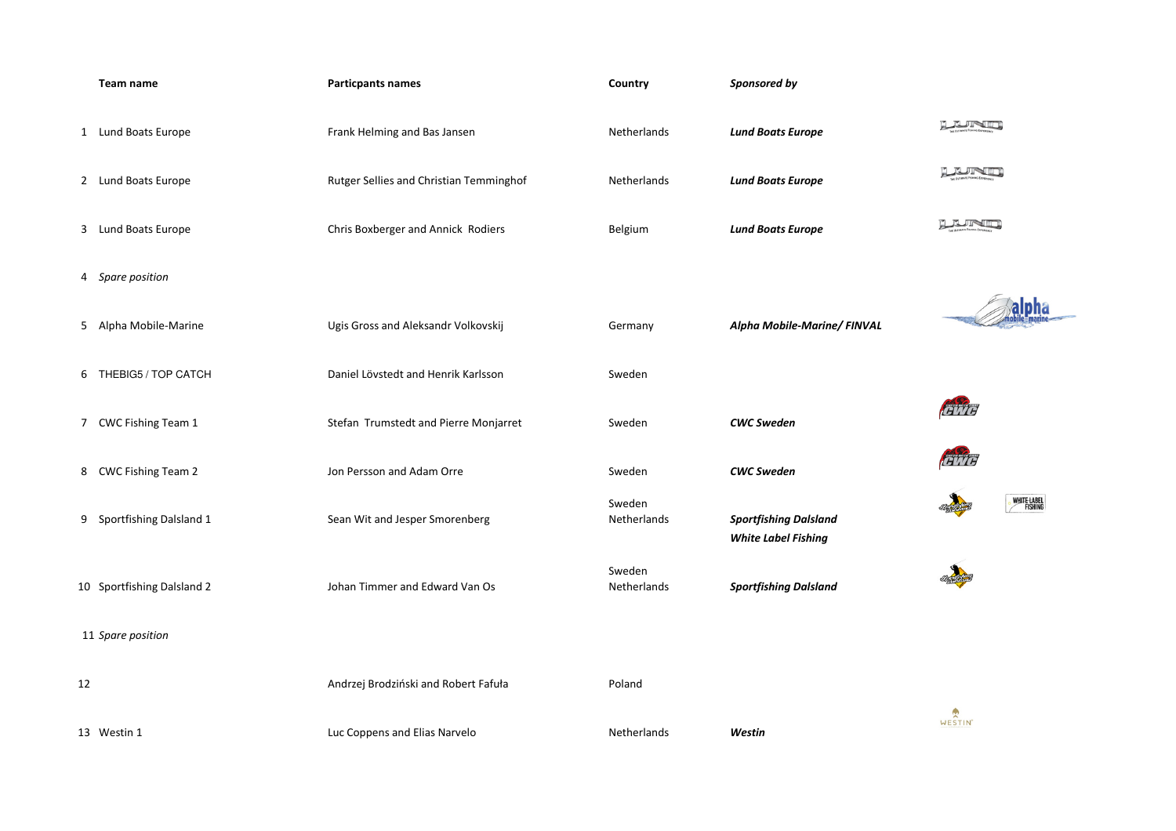|    | Team name                  | <b>Particpants names</b>                | Country                      | Sponsored by                                               |
|----|----------------------------|-----------------------------------------|------------------------------|------------------------------------------------------------|
|    | 1 Lund Boats Europe        | Frank Helming and Bas Jansen            | Netherlands                  | <b>Lund Boats Europe</b>                                   |
|    | 2 Lund Boats Europe        | Rutger Sellies and Christian Temminghof | Netherlands                  | <b>Lund Boats Europe</b>                                   |
|    | 3 Lund Boats Europe        | Chris Boxberger and Annick Rodiers      | Belgium                      | <b>Lund Boats Europe</b>                                   |
|    | 4 Spare position           |                                         |                              |                                                            |
|    | 5 Alpha Mobile-Marine      | Ugis Gross and Aleksandr Volkovskij     | Germany                      | Alpha Mobile-Marine/ FINVAL                                |
|    | 6 THEBIG5 / TOP CATCH      | Daniel Lövstedt and Henrik Karlsson     | Sweden                       |                                                            |
|    | 7 CWC Fishing Team 1       | Stefan Trumstedt and Pierre Monjarret   | Sweden                       | <b>CWC Sweden</b>                                          |
|    | 8 CWC Fishing Team 2       | Jon Persson and Adam Orre               | Sweden                       | <b>CWC Sweden</b>                                          |
|    | 9 Sportfishing Dalsland 1  | Sean Wit and Jesper Smorenberg          | Sweden<br>Netherlands        | <b>Sportfishing Dalsland</b><br><b>White Label Fishing</b> |
|    | 10 Sportfishing Dalsland 2 | Johan Timmer and Edward Van Os          | Sweden<br><b>Netherlands</b> | <b>Sportfishing Dalsland</b>                               |
|    | 11 Spare position          |                                         |                              |                                                            |
| 12 |                            | Andrzej Brodziński and Robert Fafuła    | Poland                       |                                                            |
|    | 13 Westin 1                | Luc Coppens and Elias Narvelo           | Netherlands                  | Westin                                                     |

| n         | Netherlands | <b>Lund Boats Europe</b>    |
|-----------|-------------|-----------------------------|
| emminghof | Netherlands | <b>Lund Boats Europe</b>    |
| Rodiers   | Belgium     | <b>Lund Boats Europe</b>    |
|           |             |                             |
| kovskij   | Germany     | Alpha Mobile-Marine/ FINVAL |
| arlsson   | Sweden      |                             |
| Monjarret | Sweden      | <b>CWC Sweden</b>           |
|           | Sweden      | <b>CWC Sweden</b>           |
|           | Sweden      |                             |

## *Sportfishing DalslandWhite Label Fishing*





LUND

**LEINE** 

LERIN







SUR LENGTH

WESTIN<sup>\*</sup>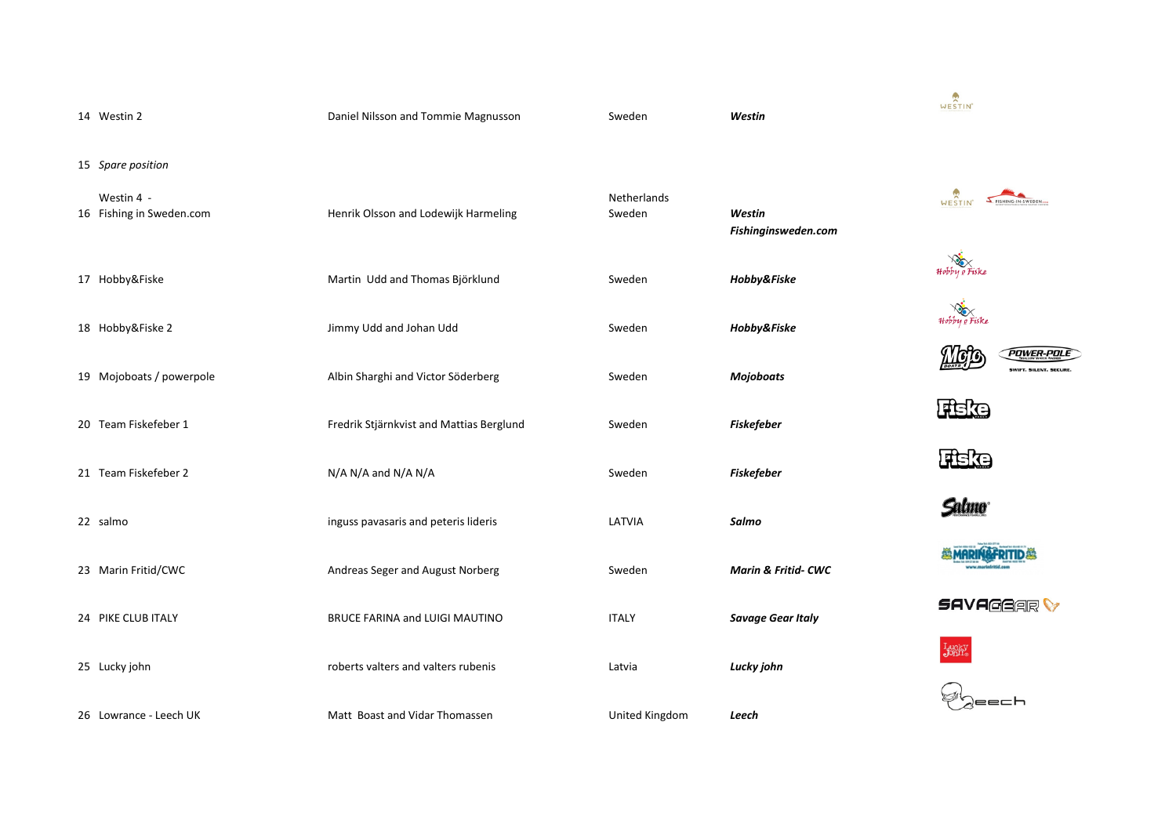| 14 Westin 2                            | Daniel Nilsson and Tommie Magnusson      | Sweden                | Westin                     |
|----------------------------------------|------------------------------------------|-----------------------|----------------------------|
| 15 Spare position                      |                                          |                       |                            |
| Westin 4 -<br>16 Fishing in Sweden.com | Henrik Olsson and Lodewijk Harmeling     | Netherlands<br>Sweden | Westin<br>Fishinginsweden. |
| 17 Hobby&Fiske                         | Martin Udd and Thomas Björklund          | Sweden                | Hobby&Fiske                |
| 18 Hobby&Fiske 2                       | Jimmy Udd and Johan Udd                  | Sweden                | Hobby&Fiske                |
| 19 Mojoboats / powerpole               | Albin Sharghi and Victor Söderberg       | Sweden                | <b>Mojoboats</b>           |
| 20 Team Fiskefeber 1                   | Fredrik Stjärnkvist and Mattias Berglund | Sweden                | <b>Fiskefeber</b>          |
| 21 Team Fiskefeber 2                   | N/A N/A and N/A N/A                      | Sweden                | <b>Fiskefeber</b>          |
| 22 salmo                               | inguss pavasaris and peteris lideris     | LATVIA                | Salmo                      |
| 23 Marin Fritid/CWC                    | Andreas Seger and August Norberg         | Sweden                | Marin & Fritid- CV         |
| 24 PIKE CLUB ITALY                     | BRUCE FARINA and LUIGI MAUTINO           | <b>ITALY</b>          | <b>Savage Gear Italy</b>   |
| 25 Lucky john                          | roberts valters and valters rubenis      | Latvia                | Lucky john                 |
| 26 Lowrance - Leech UK                 | Matt Boast and Vidar Thomassen           | United Kingdom        | Leech                      |

therlands eden *Westin Fishinginsweden.com Hobby&Fiske Hobby&Fiske Mojoboats Fiskefeber*

 *Fiskefeber Salmo Marin & Fritid- CWC*





**POWER-POLE** SWIFT, SILENT, SECURE,

WESTIN THE MILL SWEDEN

Fieke

**Salmo** 



**SAVAGGAR** 





WESTIN<sup>\*</sup>

Hobby e Fiske

Hobby e Fiske

Mol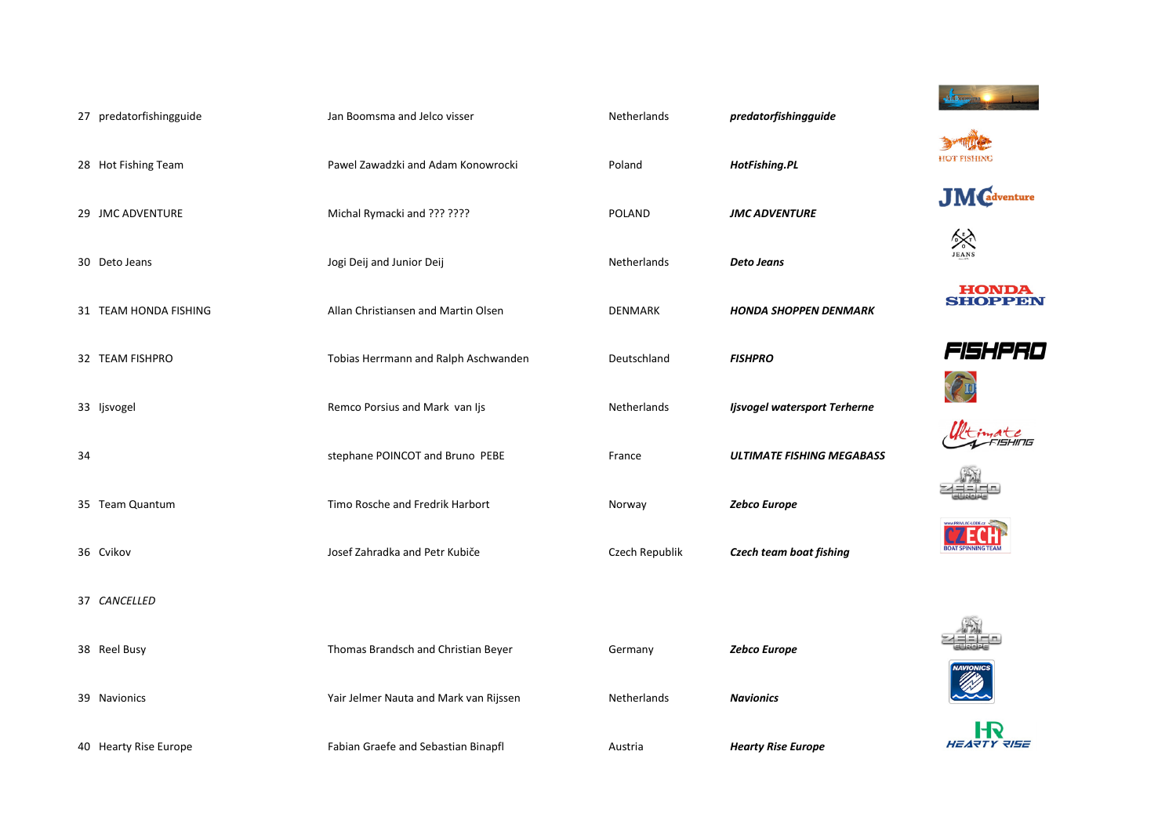|    | 27 predatorfishingguide | Jan Boomsma and Jelco visser           | Netherlands    | predatorfishingguide             |
|----|-------------------------|----------------------------------------|----------------|----------------------------------|
|    | 28 Hot Fishing Team     | Pawel Zawadzki and Adam Konowrocki     | Poland         | HotFishing.PL                    |
|    | 29 JMC ADVENTURE        | Michal Rymacki and ??? ????            | <b>POLAND</b>  | <b>JMC ADVENTURE</b>             |
|    | 30 Deto Jeans           | Jogi Deij and Junior Deij              | Netherlands    | <b>Deto Jeans</b>                |
|    | 31 TEAM HONDA FISHING   | Allan Christiansen and Martin Olsen    | <b>DENMARK</b> | <b>HONDA SHOPPEN DENMARK</b>     |
|    | 32 TEAM FISHPRO         | Tobias Herrmann and Ralph Aschwanden   | Deutschland    | <b>FISHPRO</b>                   |
|    | 33 Ijsvogel             | Remco Porsius and Mark van Ijs         | Netherlands    | Ijsvogel watersport Terherne     |
| 34 |                         | stephane POINCOT and Bruno PEBE        | France         | <b>ULTIMATE FISHING MEGABASS</b> |
|    | 35 Team Quantum         | Timo Rosche and Fredrik Harbort        | Norway         | Zebco Europe                     |
|    | 36 Cvikov               | Josef Zahradka and Petr Kubiče         | Czech Republik | Czech team boat fishing          |
|    | 37 CANCELLED            |                                        |                |                                  |
|    | 38 Reel Busy            | Thomas Brandsch and Christian Beyer    | Germany        | Zebco Europe                     |
|    | 39 Navionics            | Yair Jelmer Nauta and Mark van Rijssen | Netherlands    | <b>Navionics</b>                 |
|    | 40 Hearty Rise Europe   | Fabian Graefe and Sebastian Binapfl    | Austria        | <b>Hearty Rise Europe</b>        |

| d        | HotFishing.PL                   |
|----------|---------------------------------|
| ND       | <b>JMC ADVENTURE</b>            |
| erlands  | <b>Deto Jeans</b>               |
| 1ARK     | <b>HONDA SHOPPEN DENMARK</b>    |
| chland   | <b>FISHPRO</b>                  |
| erlands  | Ijsvogel watersport Terherne    |
| e        | <b>ULTIMATE FISHING MEGABAS</b> |
| ay       | <b>Zebco Europe</b>             |
| Republik | <b>Czech team boat fishing</b>  |
|          |                                 |
| any      | Zebco Europe                    |
|          |                                 |

























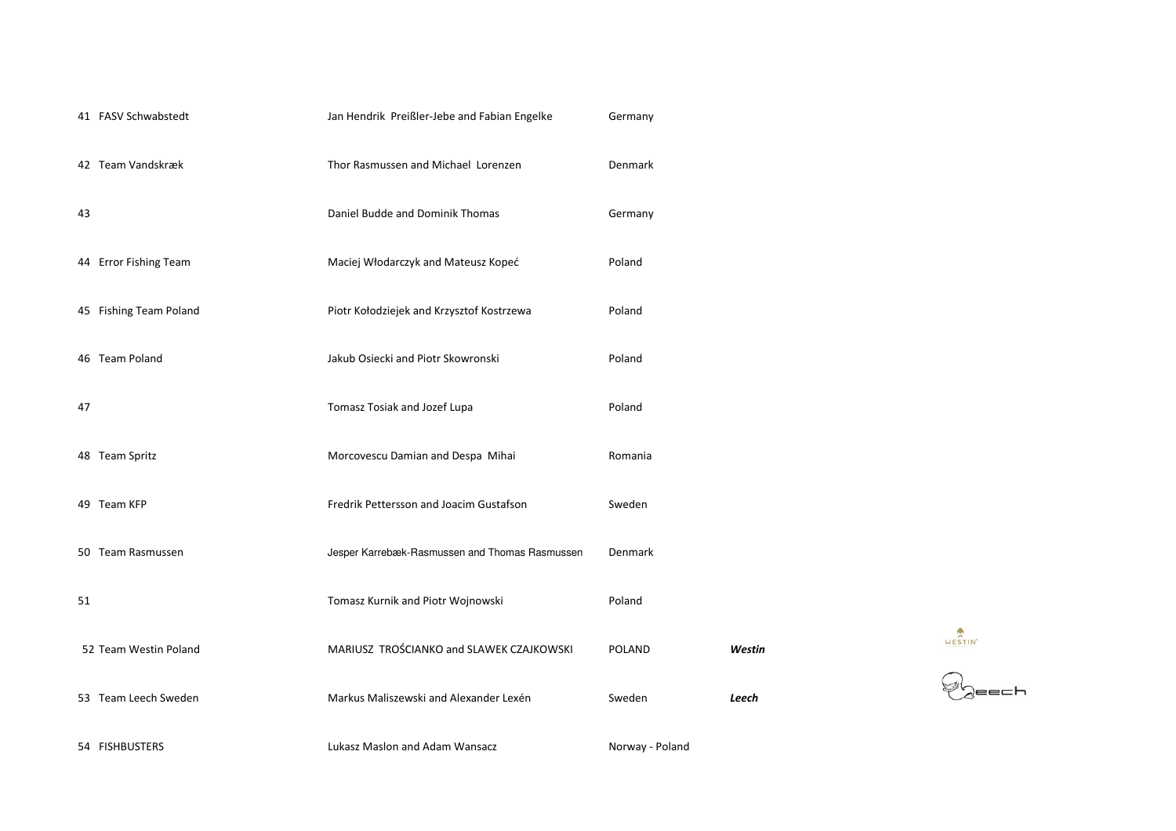|    | 41 FASV Schwabstedt    | Jan Hendrik Preißler-Jebe and Fabian Engelke   | Germany         |        |
|----|------------------------|------------------------------------------------|-----------------|--------|
|    | 42 Team Vandskræk      | Thor Rasmussen and Michael Lorenzen            | Denmark         |        |
| 43 |                        | Daniel Budde and Dominik Thomas                | Germany         |        |
|    | 44 Error Fishing Team  | Maciej Włodarczyk and Mateusz Kopeć            | Poland          |        |
|    | 45 Fishing Team Poland | Piotr Kołodziejek and Krzysztof Kostrzewa      | Poland          |        |
|    | 46 Team Poland         | Jakub Osiecki and Piotr Skowronski             | Poland          |        |
| 47 |                        | Tomasz Tosiak and Jozef Lupa                   | Poland          |        |
|    | 48 Team Spritz         | Morcovescu Damian and Despa Mihai              | Romania         |        |
|    | 49 Team KFP            | Fredrik Pettersson and Joacim Gustafson        | Sweden          |        |
|    | 50 Team Rasmussen      | Jesper Karrebæk-Rasmussen and Thomas Rasmussen | Denmark         |        |
| 51 |                        | Tomasz Kurnik and Piotr Wojnowski              | Poland          |        |
|    | 52 Team Westin Poland  | MARIUSZ TROŚCIANKO and SLAWEK CZAJKOWSKI       | <b>POLAND</b>   | Westin |
|    | 53 Team Leech Sweden   | Markus Maliszewski and Alexander Lexén         | Sweden          | Leech  |
|    | 54 FISHBUSTERS         | Lukasz Maslon and Adam Wansacz                 | Norway - Poland |        |

WESTIN<sup>\*</sup>

 $\bigotimes_{\mathsf{a}}$ eech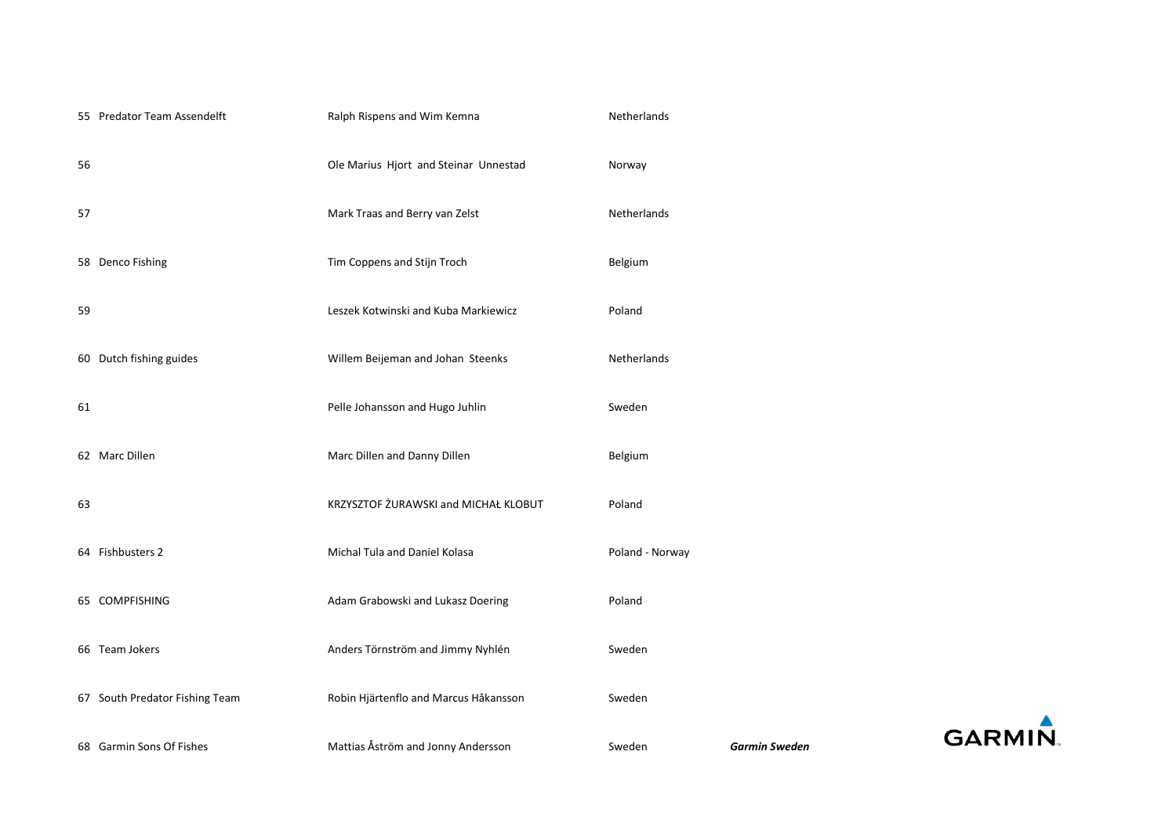|    | 68 Garmin Sons Of Fishes       | Mattias Åström and Jonny Andersson    | Sweden          | <b>Garmin Sweden</b> | GΑ |
|----|--------------------------------|---------------------------------------|-----------------|----------------------|----|
|    | 67 South Predator Fishing Team | Robin Hjärtenflo and Marcus Håkansson | Sweden          |                      |    |
|    | 66 Team Jokers                 | Anders Törnström and Jimmy Nyhlén     | Sweden          |                      |    |
|    | 65 COMPFISHING                 | Adam Grabowski and Lukasz Doering     | Poland          |                      |    |
|    | 64 Fishbusters 2               | Michal Tula and Daniel Kolasa         | Poland - Norway |                      |    |
| 63 |                                | KRZYSZTOF ŻURAWSKI and MICHAŁ KLOBUT  | Poland          |                      |    |
|    | 62 Marc Dillen                 | Marc Dillen and Danny Dillen          | Belgium         |                      |    |
| 61 |                                | Pelle Johansson and Hugo Juhlin       | Sweden          |                      |    |
|    | 60 Dutch fishing guides        | Willem Beijeman and Johan Steenks     | Netherlands     |                      |    |
| 59 |                                | Leszek Kotwinski and Kuba Markiewicz  | Poland          |                      |    |
|    | 58 Denco Fishing               | Tim Coppens and Stijn Troch           | Belgium         |                      |    |
| 57 |                                | Mark Traas and Berry van Zelst        | Netherlands     |                      |    |
| 56 |                                | Ole Marius Hjort and Steinar Unnestad | Norway          |                      |    |
|    | 55 Predator Team Assendelft    | Ralph Rispens and Wim Kemna           | Netherlands     |                      |    |

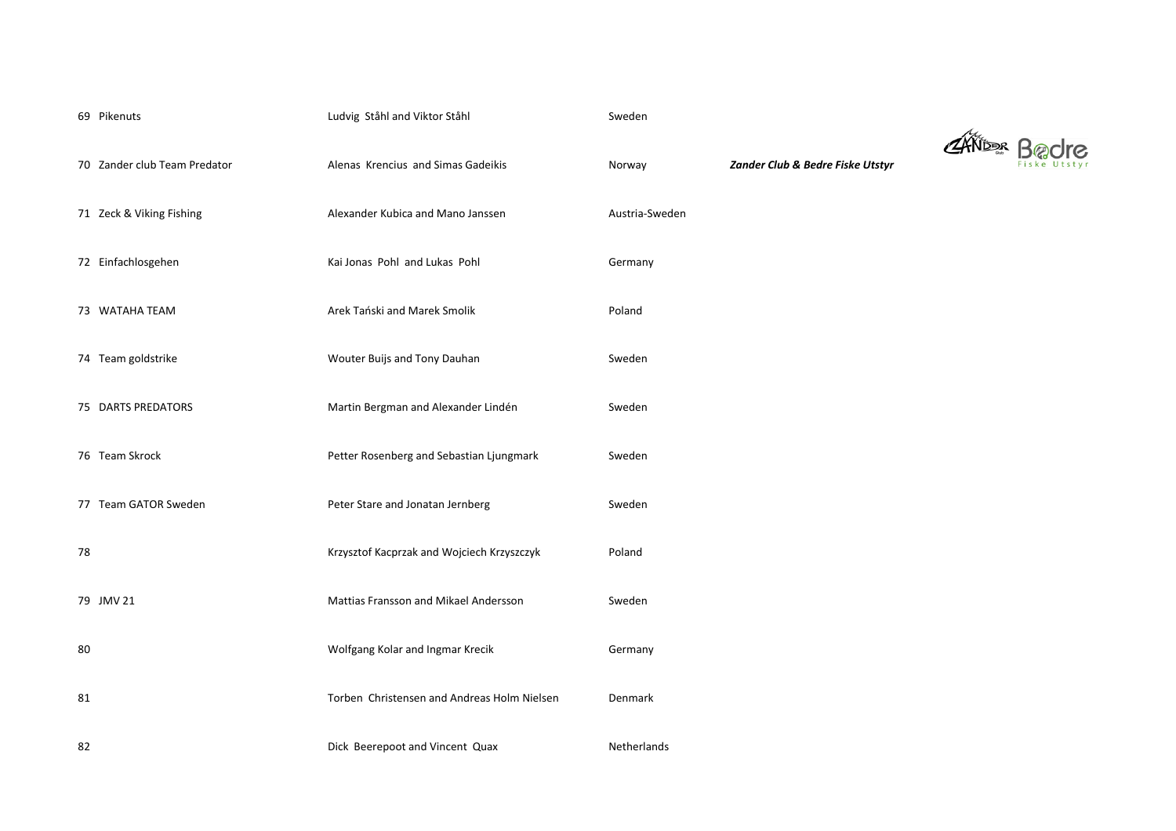|    | 69 Pikenuts                  | Ludvig Ståhl and Viktor Ståhl                | Sweden         |
|----|------------------------------|----------------------------------------------|----------------|
|    | 70 Zander club Team Predator | Alenas Krencius and Simas Gadeikis           | Norway         |
|    | 71 Zeck & Viking Fishing     | Alexander Kubica and Mano Janssen            | Austria-Sweden |
|    | 72 Einfachlosgehen           | Kai Jonas Pohl and Lukas Pohl                | Germany        |
|    | 73 WATAHA TEAM               | Arek Tański and Marek Smolik                 | Poland         |
|    | 74 Team goldstrike           | Wouter Buijs and Tony Dauhan                 | Sweden         |
|    | 75 DARTS PREDATORS           | Martin Bergman and Alexander Lindén          | Sweden         |
|    | 76 Team Skrock               | Petter Rosenberg and Sebastian Ljungmark     | Sweden         |
|    | 77 Team GATOR Sweden         | Peter Stare and Jonatan Jernberg             | Sweden         |
| 78 |                              | Krzysztof Kacprzak and Wojciech Krzyszczyk   | Poland         |
|    | 79 JMV 21                    | <b>Mattias Fransson and Mikael Andersson</b> | Sweden         |
| 80 |                              | Wolfgang Kolar and Ingmar Krecik             | Germany        |
| 81 |                              | Torben Christensen and Andreas Holm Nielsen  | Denmark        |
| 82 |                              | Dick Beerepoot and Vincent Quax              | Netherlands    |

70 Team Predator Club & Bedre Fiske Utstyr

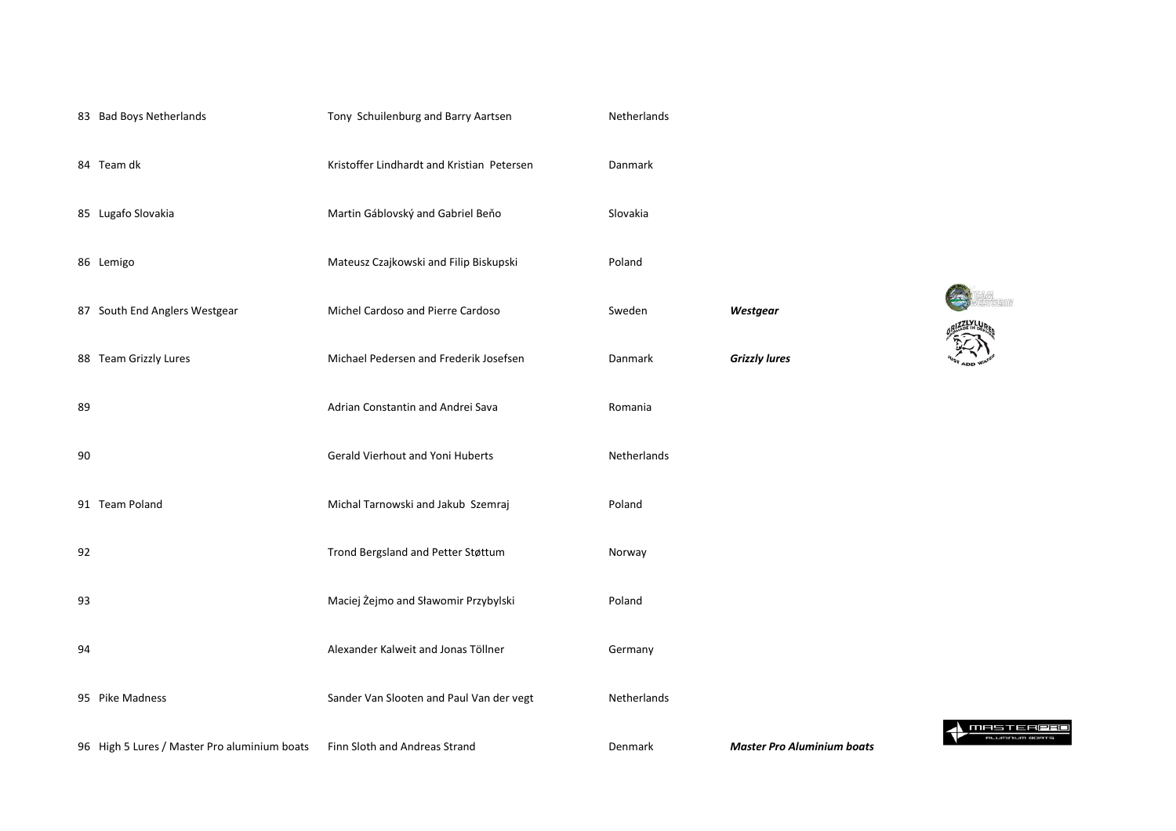|    | 83 Bad Boys Netherlands                      | Tony Schuilenburg and Barry Aartsen        | Netherlands    |                                   |
|----|----------------------------------------------|--------------------------------------------|----------------|-----------------------------------|
|    | 84 Team dk                                   | Kristoffer Lindhardt and Kristian Petersen | Danmark        |                                   |
|    | 85 Lugafo Slovakia                           | Martin Gáblovský and Gabriel Beňo          | Slovakia       |                                   |
|    | 86 Lemigo                                    | Mateusz Czajkowski and Filip Biskupski     | Poland         |                                   |
|    | 87 South End Anglers Westgear                | Michel Cardoso and Pierre Cardoso          | Sweden         | Westgear                          |
|    | 88 Team Grizzly Lures                        | Michael Pedersen and Frederik Josefsen     | Danmark        | <b>Grizzly lures</b>              |
| 89 |                                              | Adrian Constantin and Andrei Sava          | Romania        |                                   |
| 90 |                                              | <b>Gerald Vierhout and Yoni Huberts</b>    | Netherlands    |                                   |
|    | 91 Team Poland                               | Michal Tarnowski and Jakub Szemraj         | Poland         |                                   |
| 92 |                                              | Trond Bergsland and Petter Støttum         | Norway         |                                   |
| 93 |                                              | Maciej Żejmo and Sławomir Przybylski       | Poland         |                                   |
| 94 |                                              | Alexander Kalweit and Jonas Töllner        | Germany        |                                   |
|    | 95 Pike Madness                              | Sander Van Slooten and Paul Van der vegt   | Netherlands    |                                   |
|    | 96 High 5 Lures / Master Pro aluminium boats | Finn Sloth and Andreas Strand              | <b>Denmark</b> | <b>Master Pro Aluminium boats</b> |

**ENGINEER** *Westgear*

**A** MASTERPRO **ALUMNUM BOATS**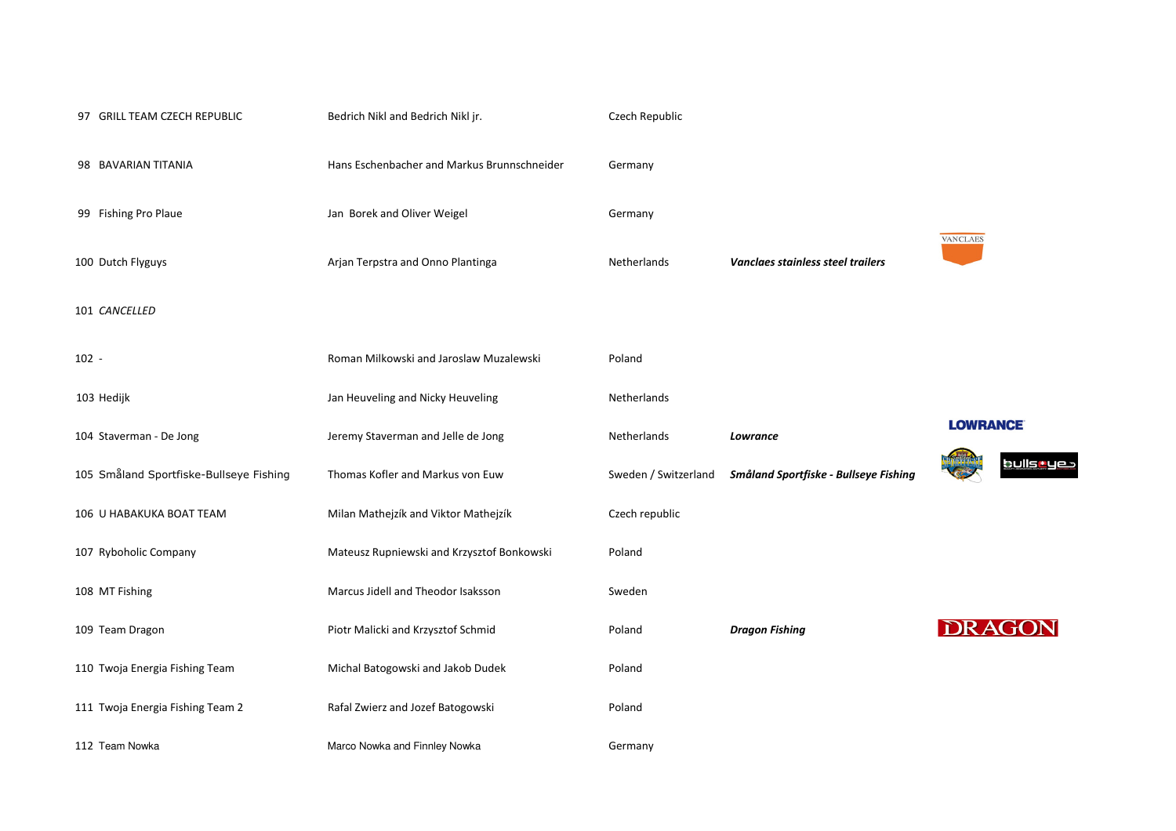| 97 GRILL TEAM CZECH REPUBLIC            | Bedrich Nikl and Bedrich Nikl jr.           | Czech Republic       |                                       |
|-----------------------------------------|---------------------------------------------|----------------------|---------------------------------------|
| 98 BAVARIAN TITANIA                     | Hans Eschenbacher and Markus Brunnschneider | Germany              |                                       |
| 99 Fishing Pro Plaue                    | Jan Borek and Oliver Weigel                 | Germany              |                                       |
| 100 Dutch Flyguys                       | Arjan Terpstra and Onno Plantinga           | Netherlands          | Vanclaes stainless steel trailers     |
| 101 CANCELLED                           |                                             |                      |                                       |
| $102 -$                                 | Roman Milkowski and Jaroslaw Muzalewski     | Poland               |                                       |
| 103 Hedijk                              | Jan Heuveling and Nicky Heuveling           | Netherlands          |                                       |
| 104 Staverman - De Jong                 | Jeremy Staverman and Jelle de Jong          | Netherlands          | Lowrance                              |
| 105 Småland Sportfiske-Bullseye Fishing | Thomas Kofler and Markus von Euw            | Sweden / Switzerland | Småland Sportfiske - Bullseye Fishing |
| 106 U HABAKUKA BOAT TEAM                | Milan Mathejzík and Viktor Mathejzík        | Czech republic       |                                       |
| 107 Ryboholic Company                   | Mateusz Rupniewski and Krzysztof Bonkowski  | Poland               |                                       |
| 108 MT Fishing                          | Marcus Jidell and Theodor Isaksson          | Sweden               |                                       |
| 109 Team Dragon                         | Piotr Malicki and Krzysztof Schmid          | Poland               | <b>Dragon Fishing</b>                 |
| 110 Twoja Energia Fishing Team          | Michal Batogowski and Jakob Dudek           | Poland               |                                       |
| 111 Twoja Energia Fishing Team 2        | Rafal Zwierz and Jozef Batogowski           | Poland               |                                       |
| 112 Team Nowka                          | Marco Nowka and Finnley Nowka               | Germany              |                                       |

## **LOWRANCE**

**VANCLAES** 



**DRAGON**